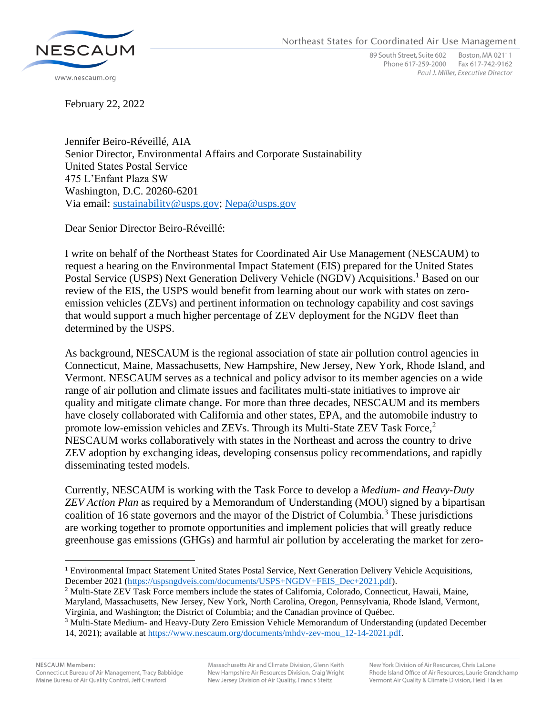

89 South Street, Suite 602 Boston, MA 02111 Phone 617-259-2000 Fax 617-742-9162 Paul J. Miller, Executive Director

February 22, 2022

Jennifer Beiro-Réveillé, AIA Senior Director, Environmental Affairs and Corporate Sustainability United States Postal Service 475 L'Enfant Plaza SW Washington, D.C. 20260-6201 Via email: [sustainability@usps.gov;](mailto:sustainability@usps.gov) [Nepa@usps.gov](mailto:Nepa@usps.gov)

Dear Senior Director Beiro-Réveillé:

I write on behalf of the Northeast States for Coordinated Air Use Management (NESCAUM) to request a hearing on the Environmental Impact Statement (EIS) prepared for the United States Postal Service (USPS) Next Generation Delivery Vehicle (NGDV) Acquisitions.<sup>1</sup> Based on our review of the EIS, the USPS would benefit from learning about our work with states on zeroemission vehicles (ZEVs) and pertinent information on technology capability and cost savings that would support a much higher percentage of ZEV deployment for the NGDV fleet than determined by the USPS.

As background, NESCAUM is the regional association of state air pollution control agencies in Connecticut, Maine, Massachusetts, New Hampshire, New Jersey, New York, Rhode Island, and Vermont. NESCAUM serves as a technical and policy advisor to its member agencies on a wide range of air pollution and climate issues and facilitates multi-state initiatives to improve air quality and mitigate climate change. For more than three decades, NESCAUM and its members have closely collaborated with California and other states, EPA, and the automobile industry to promote low-emission vehicles and ZEVs. Through its Multi-State ZEV Task Force,<sup>2</sup> NESCAUM works collaboratively with states in the Northeast and across the country to drive ZEV adoption by exchanging ideas, developing consensus policy recommendations, and rapidly disseminating tested models.

Currently, NESCAUM is working with the Task Force to develop a *Medium- and Heavy-Duty ZEV Action Plan* as required by a Memorandum of Understanding (MOU) signed by a bipartisan coalition of 16 state governors and the mayor of the District of Columbia.<sup>3</sup> These jurisdictions are working together to promote opportunities and implement policies that will greatly reduce greenhouse gas emissions (GHGs) and harmful air pollution by accelerating the market for zero-

<sup>1</sup> Environmental Impact Statement United States Postal Service, Next Generation Delivery Vehicle Acquisitions, December 2021 [\(https://uspsngdveis.com/documents/USPS+NGDV+FEIS\\_Dec+2021.pdf\)](https://uspsngdveis.com/documents/USPS+NGDV+FEIS_Dec+2021.pdf).

<sup>2</sup> Multi-State ZEV Task Force members include the states of California, Colorado, Connecticut, Hawaii, Maine, Maryland, Massachusetts, New Jersey, New York, North Carolina, Oregon, Pennsylvania, Rhode Island, Vermont, Virginia, and Washington; the District of Columbia; and the Canadian province of Québec.

<sup>3</sup> Multi-State Medium- and Heavy-Duty Zero Emission Vehicle Memorandum of Understanding (updated December 14, 2021); available at [https://www.nescaum.org/documents/mhdv-zev-mou\\_12-14-2021.pdf.](https://www.nescaum.org/documents/mhdv-zev-mou_12-14-2021.pdf)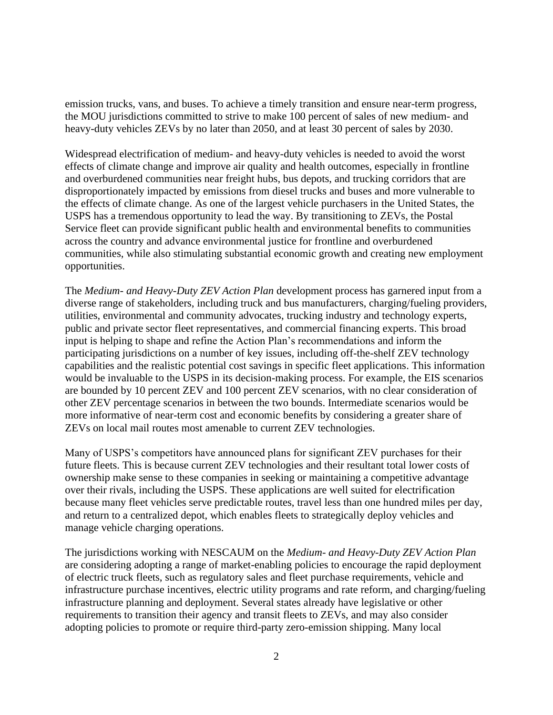emission trucks, vans, and buses. To achieve a timely transition and ensure near-term progress, the MOU jurisdictions committed to strive to make 100 percent of sales of new medium- and heavy-duty vehicles ZEVs by no later than 2050, and at least 30 percent of sales by 2030.

Widespread electrification of medium- and heavy-duty vehicles is needed to avoid the worst effects of climate change and improve air quality and health outcomes, especially in frontline and overburdened communities near freight hubs, bus depots, and trucking corridors that are disproportionately impacted by emissions from diesel trucks and buses and more vulnerable to the effects of climate change. As one of the largest vehicle purchasers in the United States, the USPS has a tremendous opportunity to lead the way. By transitioning to ZEVs, the Postal Service fleet can provide significant public health and environmental benefits to communities across the country and advance environmental justice for frontline and overburdened communities, while also stimulating substantial economic growth and creating new employment opportunities.

The *Medium- and Heavy-Duty ZEV Action Plan* development process has garnered input from a diverse range of stakeholders, including truck and bus manufacturers, charging/fueling providers, utilities, environmental and community advocates, trucking industry and technology experts, public and private sector fleet representatives, and commercial financing experts. This broad input is helping to shape and refine the Action Plan's recommendations and inform the participating jurisdictions on a number of key issues, including off-the-shelf ZEV technology capabilities and the realistic potential cost savings in specific fleet applications. This information would be invaluable to the USPS in its decision-making process. For example, the EIS scenarios are bounded by 10 percent ZEV and 100 percent ZEV scenarios, with no clear consideration of other ZEV percentage scenarios in between the two bounds. Intermediate scenarios would be more informative of near-term cost and economic benefits by considering a greater share of ZEVs on local mail routes most amenable to current ZEV technologies.

Many of USPS's competitors have announced plans for significant ZEV purchases for their future fleets. This is because current ZEV technologies and their resultant total lower costs of ownership make sense to these companies in seeking or maintaining a competitive advantage over their rivals, including the USPS. These applications are well suited for electrification because many fleet vehicles serve predictable routes, travel less than one hundred miles per day, and return to a centralized depot, which enables fleets to strategically deploy vehicles and manage vehicle charging operations.

The jurisdictions working with NESCAUM on the *Medium- and Heavy-Duty ZEV Action Plan* are considering adopting a range of market-enabling policies to encourage the rapid deployment of electric truck fleets, such as regulatory sales and fleet purchase requirements, vehicle and infrastructure purchase incentives, electric utility programs and rate reform, and charging/fueling infrastructure planning and deployment. Several states already have legislative or other requirements to transition their agency and transit fleets to ZEVs, and may also consider adopting policies to promote or require third-party zero-emission shipping. Many local